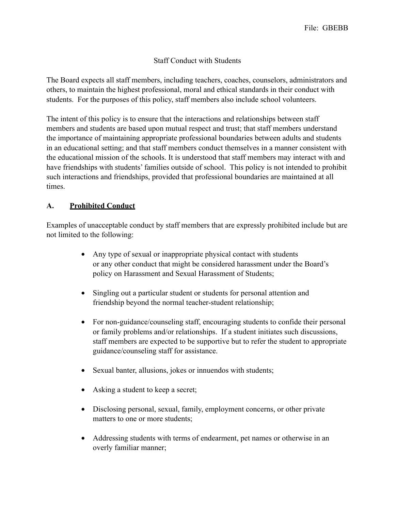### Staff Conduct with Students

The Board expects all staff members, including teachers, coaches, counselors, administrators and others, to maintain the highest professional, moral and ethical standards in their conduct with students. For the purposes of this policy, staff members also include school volunteers.

The intent of this policy is to ensure that the interactions and relationships between staff members and students are based upon mutual respect and trust; that staff members understand the importance of maintaining appropriate professional boundaries between adults and students in an educational setting; and that staff members conduct themselves in a manner consistent with the educational mission of the schools. It is understood that staff members may interact with and have friendships with students' families outside of school. This policy is not intended to prohibit such interactions and friendships, provided that professional boundaries are maintained at all times.

### **A. Prohibited Conduct**

Examples of unacceptable conduct by staff members that are expressly prohibited include but are not limited to the following:

- Any type of sexual or inappropriate physical contact with students or any other conduct that might be considered harassment under the Board's policy on Harassment and Sexual Harassment of Students;
- Singling out a particular student or students for personal attention and friendship beyond the normal teacher-student relationship;
- For non-guidance/counseling staff, encouraging students to confide their personal or family problems and/or relationships. If a student initiates such discussions, staff members are expected to be supportive but to refer the student to appropriate guidance/counseling staff for assistance.
- Sexual banter, allusions, jokes or innuendos with students;
- Asking a student to keep a secret;
- Disclosing personal, sexual, family, employment concerns, or other private matters to one or more students;
- Addressing students with terms of endearment, pet names or otherwise in an overly familiar manner;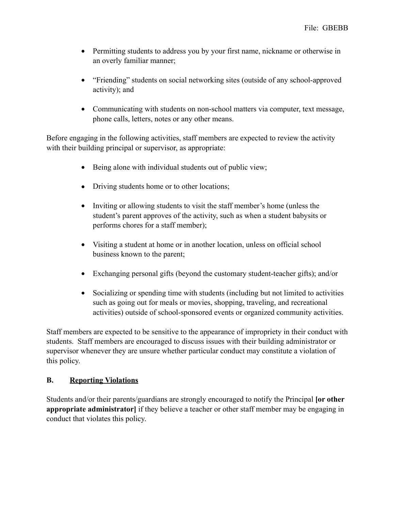- Permitting students to address you by your first name, nickname or otherwise in an overly familiar manner;
- "Friending" students on social networking sites (outside of any school-approved activity); and
- Communicating with students on non-school matters via computer, text message, phone calls, letters, notes or any other means.

Before engaging in the following activities, staff members are expected to review the activity with their building principal or supervisor, as appropriate:

- Being alone with individual students out of public view;
- Driving students home or to other locations;
- Inviting or allowing students to visit the staff member's home (unless the student's parent approves of the activity, such as when a student babysits or performs chores for a staff member);
- Visiting a student at home or in another location, unless on official school business known to the parent;
- Exchanging personal gifts (beyond the customary student-teacher gifts); and/or
- Socializing or spending time with students (including but not limited to activities such as going out for meals or movies, shopping, traveling, and recreational activities) outside of school-sponsored events or organized community activities.

Staff members are expected to be sensitive to the appearance of impropriety in their conduct with students. Staff members are encouraged to discuss issues with their building administrator or supervisor whenever they are unsure whether particular conduct may constitute a violation of this policy.

### **B. Reporting Violations**

Students and/or their parents/guardians are strongly encouraged to notify the Principal **[or other appropriate administrator]** if they believe a teacher or other staff member may be engaging in conduct that violates this policy.